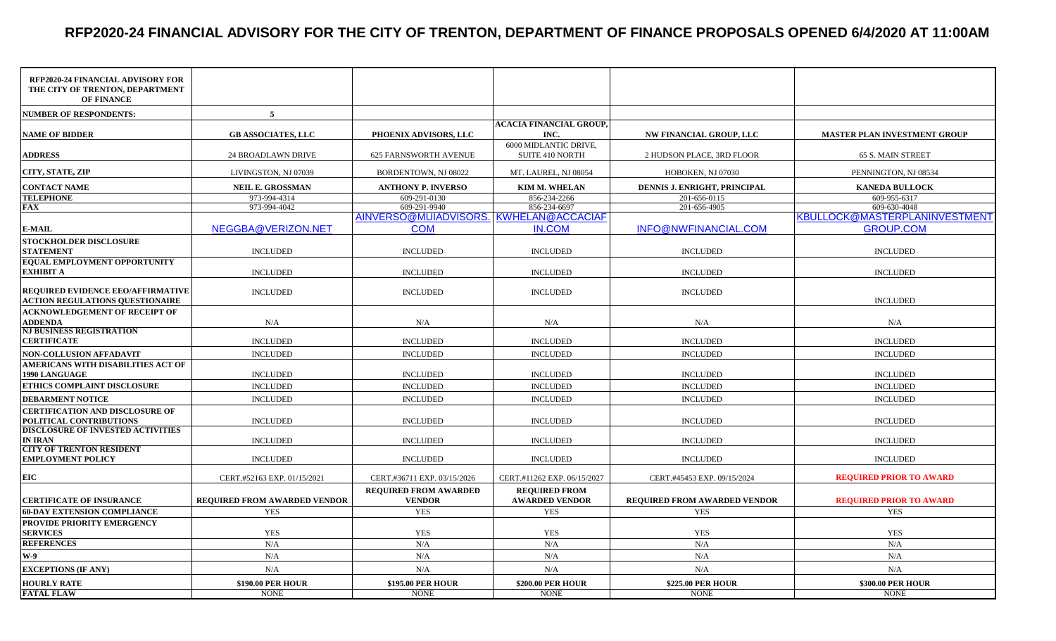## **RFP2020-24 FINANCIAL ADVISORY FOR THE CITY OF TRENTON, DEPARTMENT OF FINANCE PROPOSALS OPENED 6/4/2020 AT 11:00AM**

| RFP2020-24 FINANCIAL ADVISORY FOR<br>THE CITY OF TRENTON, DEPARTMENT<br><b>OF FINANCE</b> |                                         |                                                      |                                               |                                         |                                                   |
|-------------------------------------------------------------------------------------------|-----------------------------------------|------------------------------------------------------|-----------------------------------------------|-----------------------------------------|---------------------------------------------------|
| <b>NUMBER OF RESPONDENTS:</b>                                                             | $5\overline{5}$                         |                                                      |                                               |                                         |                                                   |
| <b>NAME OF BIDDER</b>                                                                     | <b>GB ASSOCIATES, LLC</b>               | PHOENIX ADVISORS, LLC                                | <b>ACACIA FINANCIAL GROUP.</b><br>INC.        | <b>NW FINANCIAL GROUP, LLC</b>          | <b>MASTER PLAN INVESTMENT GROUP</b>               |
| <b>ADDRESS</b>                                                                            | <b>24 BROADLAWN DRIVE</b>               | <b>625 FARNSWORTH AVENUE</b>                         | 6000 MIDLANTIC DRIVE,<br>SUITE 410 NORTH      | 2 HUDSON PLACE, 3RD FLOOR               | 65 S. MAIN STREET                                 |
| CITY, STATE, ZIP                                                                          | LIVINGSTON, NJ 07039                    | BORDENTOWN, NJ 08022                                 | MT. LAUREL, NJ 08054                          | HOBOKEN, NJ 07030                       | PENNINGTON, NJ 08534                              |
| <b>CONTACT NAME</b>                                                                       | <b>NEIL E. GROSSMAN</b>                 | <b>ANTHONY P. INVERSO</b>                            | KIM M. WHELAN                                 | DENNIS J. ENRIGHT, PRINCIPAL            | <b>KANEDA BULLOCK</b>                             |
| <b>TELEPHONE</b>                                                                          | 973-994-4314                            | 609-291-0130                                         | 856-234-2266                                  | 201-656-0115                            | 609-955-6317                                      |
| FAX                                                                                       | 973-994-4042                            | 609-291-9940                                         | 856-234-6697                                  | 201-656-4905                            | 609-630-4048                                      |
| <b>E-MAIL</b>                                                                             | NEGGBA@VERIZON.NET                      | AINVERSO@MUIADVISORS. KWHELAN@ACCACIAF<br><b>COM</b> | <b>IN.COM</b>                                 | INFO@NWFINANCIAL.COM                    | KBULLOCK@MASTERPLANINVESTMENT<br><b>GROUP.COM</b> |
| <b>STOCKHOLDER DISCLOSURE</b>                                                             |                                         |                                                      |                                               |                                         |                                                   |
| <b>STATEMENT</b>                                                                          | <b>INCLUDED</b>                         | <b>INCLUDED</b>                                      | <b>INCLUDED</b>                               | <b>INCLUDED</b>                         | $\sf INCLUDED$                                    |
| EQUAL EMPLOYMENT OPPORTUNITY<br>EXHIBIT A                                                 | <b>INCLUDED</b>                         | <b>INCLUDED</b>                                      | <b>INCLUDED</b>                               | <b>INCLUDED</b>                         | <b>INCLUDED</b>                                   |
| <b>REQUIRED EVIDENCE EEO/AFFIRMATIVE</b><br><b>ACTION REGULATIONS QUESTIONAIRE</b>        | <b>INCLUDED</b>                         | <b>INCLUDED</b>                                      | <b>INCLUDED</b>                               | <b>INCLUDED</b>                         | <b>INCLUDED</b>                                   |
| <b>ACKNOWLEDGEMENT OF RECEIPT OF</b><br><b>ADDENDA</b>                                    | N/A                                     | N/A                                                  | N/A                                           | N/A                                     | N/A                                               |
| <b>NJ BUSINESS REGISTRATION</b><br>CERTIFICATE                                            | <b>INCLUDED</b>                         | <b>INCLUDED</b>                                      | <b>INCLUDED</b>                               | <b>INCLUDED</b>                         | <b>INCLUDED</b>                                   |
| NON-COLLUSION AFFADAVIT                                                                   | <b>INCLUDED</b>                         | <b>INCLUDED</b>                                      | <b>INCLUDED</b>                               | <b>INCLUDED</b>                         | <b>INCLUDED</b>                                   |
| AMERICANS WITH DISABILITIES ACT OF<br><b>1990 LANGUAGE</b>                                | <b>INCLUDED</b>                         | <b>INCLUDED</b>                                      | <b>INCLUDED</b>                               | <b>INCLUDED</b>                         | <b>INCLUDED</b>                                   |
| ETHICS COMPLAINT DISCLOSURE                                                               | <b>INCLUDED</b>                         | <b>INCLUDED</b>                                      | <b>INCLUDED</b>                               | <b>INCLUDED</b>                         | <b>INCLUDED</b>                                   |
| <b>DEBARMENT NOTICE</b>                                                                   | <b>INCLUDED</b>                         | <b>INCLUDED</b>                                      | <b>INCLUDED</b>                               | <b>INCLUDED</b>                         | <b>INCLUDED</b>                                   |
| <b>CERTIFICATION AND DISCLOSURE OF</b><br>POLITICAL CONTRIBUTIONS                         | <b>INCLUDED</b>                         | <b>INCLUDED</b>                                      | <b>INCLUDED</b>                               | <b>INCLUDED</b>                         | <b>INCLUDED</b>                                   |
| <b>DISCLOSURE OF INVESTED ACTIVITIES</b><br>IN IRAN                                       | <b>INCLUDED</b>                         | <b>INCLUDED</b>                                      | <b>INCLUDED</b>                               | <b>INCLUDED</b>                         | <b>INCLUDED</b>                                   |
| <b>CITY OF TRENTON RESIDENT</b><br>EMPLOYMENT POLICY                                      | <b>INCLUDED</b>                         | <b>INCLUDED</b>                                      | <b>INCLUDED</b>                               | <b>INCLUDED</b>                         | <b>INCLUDED</b>                                   |
| EIC                                                                                       | CERT.#52163 EXP. 01/15/2021             | CERT.#36711 EXP. 03/15/2026                          | CERT.#11262 EXP. 06/15/2027                   | CERT.#45453 EXP. 09/15/2024             | <b>REQUIRED PRIOR TO AWARD</b>                    |
| <b>CERTIFICATE OF INSURANCE</b>                                                           | <b>REQUIRED FROM AWARDED VENDOR</b>     | <b>REQUIRED FROM AWARDED</b><br><b>VENDOR</b>        | <b>REOUIRED FROM</b><br><b>AWARDED VENDOR</b> | <b>REQUIRED FROM AWARDED VENDOR</b>     | <b>REQUIRED PRIOR TO AWARD</b>                    |
| <b>60-DAY EXTENSION COMPLIANCE</b>                                                        | <b>YES</b>                              | <b>YES</b>                                           | <b>YES</b>                                    | <b>YES</b>                              | <b>YES</b>                                        |
| <b>PROVIDE PRIORITY EMERGENCY</b><br><b>SERVICES</b>                                      | <b>YES</b>                              | <b>YES</b>                                           | <b>YES</b>                                    | <b>YES</b>                              | <b>YES</b>                                        |
| <b>REFERENCES</b>                                                                         | N/A                                     | N/A                                                  | N/A                                           | N/A                                     | N/A                                               |
| W-9                                                                                       | N/A                                     | N/A                                                  | N/A                                           | N/A                                     | N/A                                               |
| <b>EXCEPTIONS (IF ANY)</b>                                                                | N/A                                     | N/A                                                  | N/A                                           | $\rm N/A$                               | N/A                                               |
| <b>HOURLY RATE</b><br><b>FATAL FLAW</b>                                                   | <b>\$190.00 PER HOUR</b><br><b>NONE</b> | <b>\$195.00 PER HOUR</b><br><b>NONE</b>              | \$200.00 PER HOUR<br><b>NONE</b>              | <b>\$225.00 PER HOUR</b><br><b>NONE</b> | <b>\$300.00 PER HOUR</b><br><b>NONE</b>           |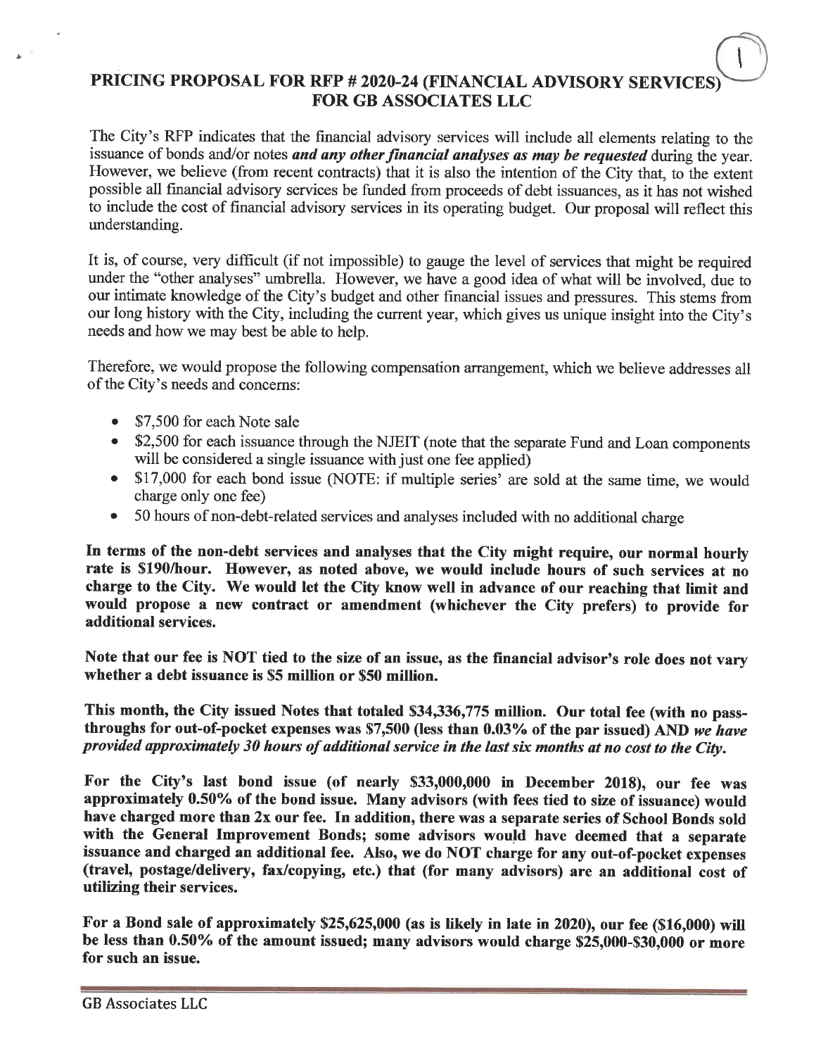## PRICING PROPOSAL FOR RFP # 2020-24 (FINANCIAL ADVISORY SERVICE) **FOR GB ASSOCIATES LLC**

The City's RFP indicates that the financial advisory services will include all elements relating to the issuance of bonds and/or notes and any other financial analyses as may be requested during the year. However, we believe (from recent contracts) that it is also the intention of the City that, to the extent possible all financial advisory services be funded from proceeds of debt issuances, as it has not wished to include the cost of financial advisory services in its operating budget. Our proposal will reflect this understanding.

It is, of course, very difficult (if not impossible) to gauge the level of services that might be required under the "other analyses" umbrella. However, we have a good idea of what will be involved, due to our intimate knowledge of the City's budget and other financial issues and pressures. This stems from our long history with the City, including the current year, which gives us unique insight into the City's needs and how we may best be able to help.

Therefore, we would propose the following compensation arrangement, which we believe addresses all of the City's needs and concerns:

- \$7,500 for each Note sale
- \$2,500 for each issuance through the NJEIT (note that the separate Fund and Loan components will be considered a single issuance with just one fee applied)
- \$17,000 for each bond issue (NOTE: if multiple series' are sold at the same time, we would charge only one fee)
- 50 hours of non-debt-related services and analyses included with no additional charge

In terms of the non-debt services and analyses that the City might require, our normal hourly rate is \$190/hour. However, as noted above, we would include hours of such services at no charge to the City. We would let the City know well in advance of our reaching that limit and would propose a new contract or amendment (whichever the City prefers) to provide for additional services.

Note that our fee is NOT tied to the size of an issue, as the financial advisor's role does not vary whether a debt issuance is \$5 million or \$50 million.

This month, the City issued Notes that totaled \$34,336,775 million. Our total fee (with no passthroughs for out-of-pocket expenses was \$7,500 (less than 0.03% of the par issued) AND we have provided approximately 30 hours of additional service in the last six months at no cost to the City.

For the City's last bond issue (of nearly \$33,000,000 in December 2018), our fee was approximately 0.50% of the bond issue. Many advisors (with fees tied to size of issuance) would have charged more than 2x our fee. In addition, there was a separate series of School Bonds sold with the General Improvement Bonds; some advisors would have deemed that a separate issuance and charged an additional fee. Also, we do NOT charge for any out-of-pocket expenses (travel, postage/delivery, fax/copying, etc.) that (for many advisors) are an additional cost of utilizing their services.

For a Bond sale of approximately \$25,625,000 (as is likely in late in 2020), our fee (\$16,000) will be less than 0.50% of the amount issued; many advisors would charge \$25,000-\$30,000 or more for such an issue.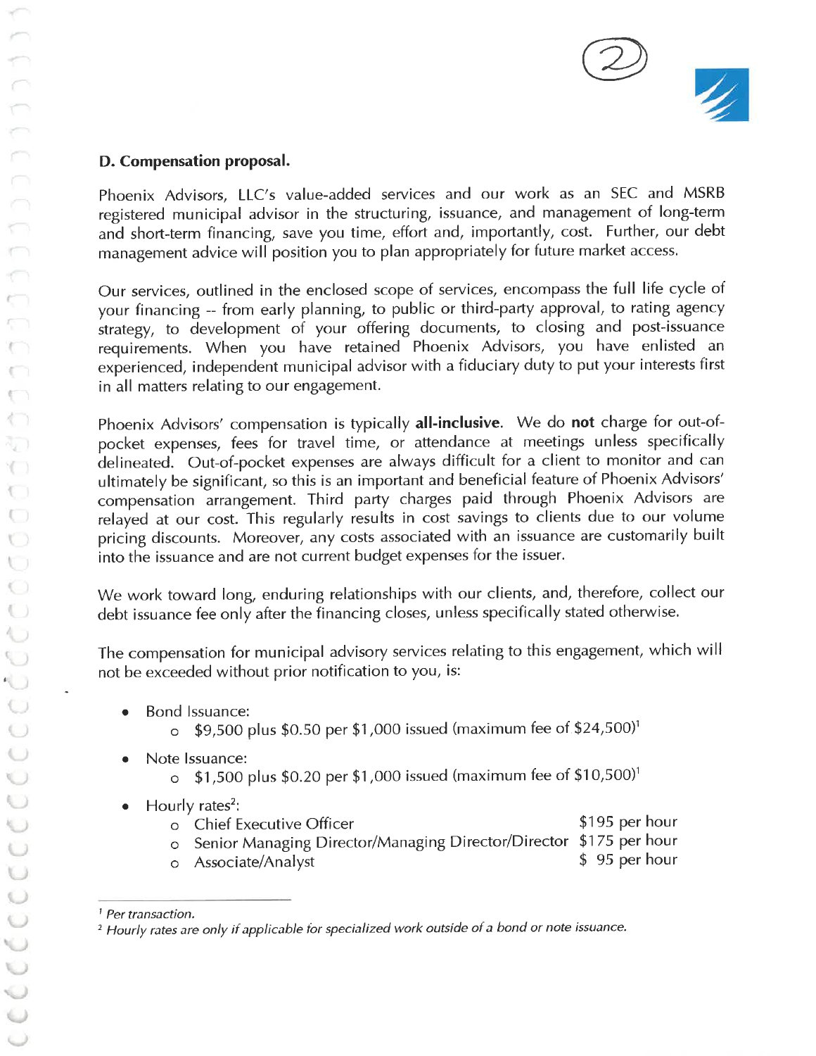

### D. Compensation proposal.

Phoenix Advisors, LLC's value-added services and our work as an SEC and MSRB registered municipal advisor in the structuring, issuance, and management of long-term and short-term financing, save you time, effort and, importantly, cost. Further, our debt management advice will position you to plan appropriately for future market access.

Our services, outlined in the enclosed scope of services, encompass the full life cycle of your financing -- from early planning, to public or third-party approval, to rating agency strategy, to development of your offering documents, to closing and post-issuance requirements. When you have retained Phoenix Advisors, you have enlisted an experienced, independent municipal advisor with a fiduciary duty to put your interests first in all matters relating to our engagement.

Phoenix Advisors' compensation is typically all-inclusive. We do not charge for out-ofpocket expenses, fees for travel time, or attendance at meetings unless specifically delineated. Out-of-pocket expenses are always difficult for a client to monitor and can ultimately be significant, so this is an important and beneficial feature of Phoenix Advisors' compensation arrangement. Third party charges paid through Phoenix Advisors are relayed at our cost. This regularly results in cost savings to clients due to our volume pricing discounts. Moreover, any costs associated with an issuance are customarily built into the issuance and are not current budget expenses for the issuer.

We work toward long, enduring relationships with our clients, and, therefore, collect our debt issuance fee only after the financing closes, unless specifically stated otherwise.

The compensation for municipal advisory services relating to this engagement, which will not be exceeded without prior notification to you, is:

- Bond Issuance:  $\bullet$ 
	- \$9,500 plus \$0.50 per \$1,000 issued (maximum fee of \$24,500)<sup>1</sup>  $\circ$
- Note Issuance:
	- $\circ$  \$1,500 plus \$0.20 per \$1,000 issued (maximum fee of \$10,500)<sup>1</sup>
- Hourly rates<sup>2</sup>:
	- \$195 per hour o Chief Executive Officer
	- Senior Managing Director/Managing Director/Director \$175 per hour  $\circ$ \$95 per hour
	- Associate/Analyst  $\circ$

<sup>&</sup>lt;sup>1</sup> Per transaction.

<sup>&</sup>lt;sup>2</sup> Hourly rates are only if applicable for specialized work outside of a bond or note issuance.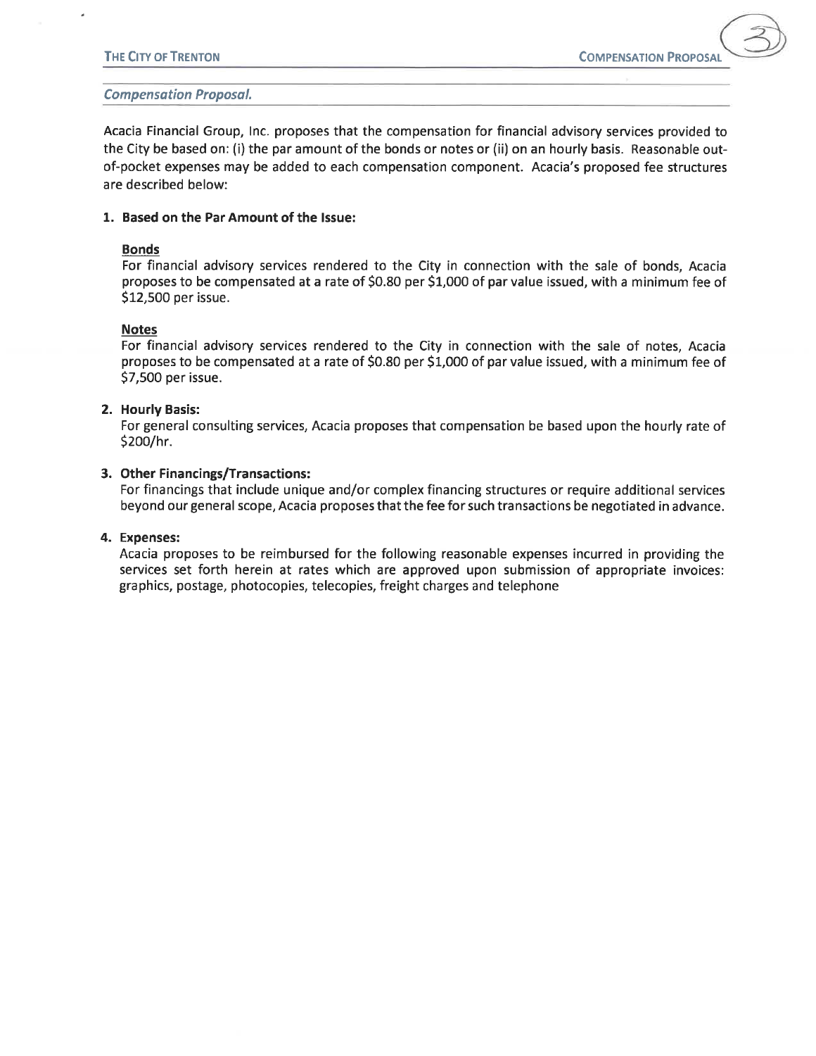#### **Compensation Proposal.**

Acacia Financial Group, Inc. proposes that the compensation for financial advisory services provided to the City be based on: (i) the par amount of the bonds or notes or (ii) on an hourly basis. Reasonable outof-pocket expenses may be added to each compensation component. Acacia's proposed fee structures are described below:

#### 1. Based on the Par Amount of the Issue:

#### **Bonds**

For financial advisory services rendered to the City in connection with the sale of bonds, Acacia proposes to be compensated at a rate of \$0.80 per \$1,000 of par value issued, with a minimum fee of \$12,500 per issue.

#### **Notes**

For financial advisory services rendered to the City in connection with the sale of notes, Acacia proposes to be compensated at a rate of \$0.80 per \$1,000 of par value issued, with a minimum fee of \$7,500 per issue.

#### 2. Hourly Basis:

For general consulting services, Acacia proposes that compensation be based upon the hourly rate of \$200/hr.

#### 3. Other Financings/Transactions:

For financings that include unique and/or complex financing structures or require additional services beyond our general scope, Acacia proposes that the fee for such transactions be negotiated in advance.

#### 4. Expenses:

Acacia proposes to be reimbursed for the following reasonable expenses incurred in providing the services set forth herein at rates which are approved upon submission of appropriate invoices: graphics, postage, photocopies, telecopies, freight charges and telephone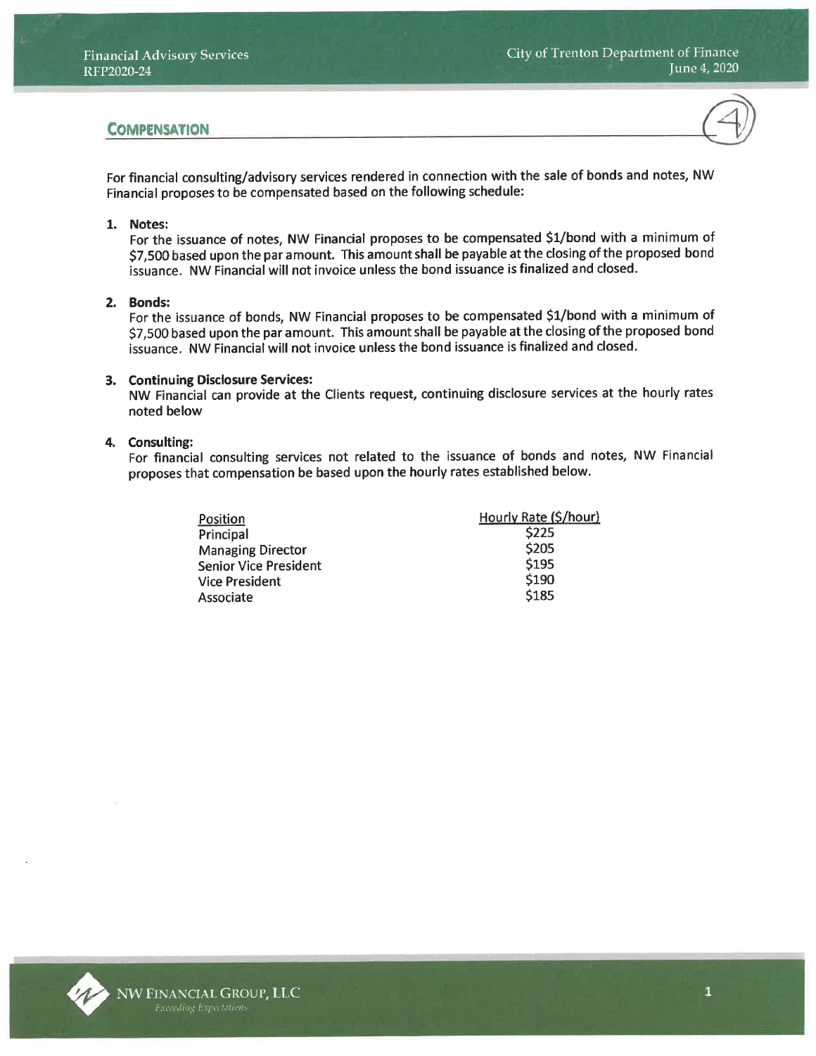### **COMPENSATION**



For financial consulting/advisory services rendered in connection with the sale of bonds and notes, NW Financial proposes to be compensated based on the following schedule:

#### 1. Notes:

For the issuance of notes, NW Financial proposes to be compensated \$1/bond with a minimum of \$7,500 based upon the par amount. This amount shall be payable at the closing of the proposed bond issuance. NW Financial will not invoice unless the bond issuance is finalized and closed.

#### 2. Bonds:

For the issuance of bonds, NW Financial proposes to be compensated \$1/bond with a minimum of \$7,500 based upon the par amount. This amount shall be payable at the closing of the proposed bond issuance. NW Financial will not invoice unless the bond issuance is finalized and closed.

#### 3. Continuing Disclosure Services:

NW Financial can provide at the Clients request, continuing disclosure services at the hourly rates noted below

#### 4. Consulting:

For financial consulting services not related to the issuance of bonds and notes, NW Financial proposes that compensation be based upon the hourly rates established below.

| Position                     | Hourly Rate (\$/hour) |
|------------------------------|-----------------------|
| Principal                    | <b>S225</b>           |
| <b>Managing Director</b>     | \$205                 |
| <b>Senior Vice President</b> | \$195                 |
| <b>Vice President</b>        | \$190                 |
| Associate                    | \$185                 |